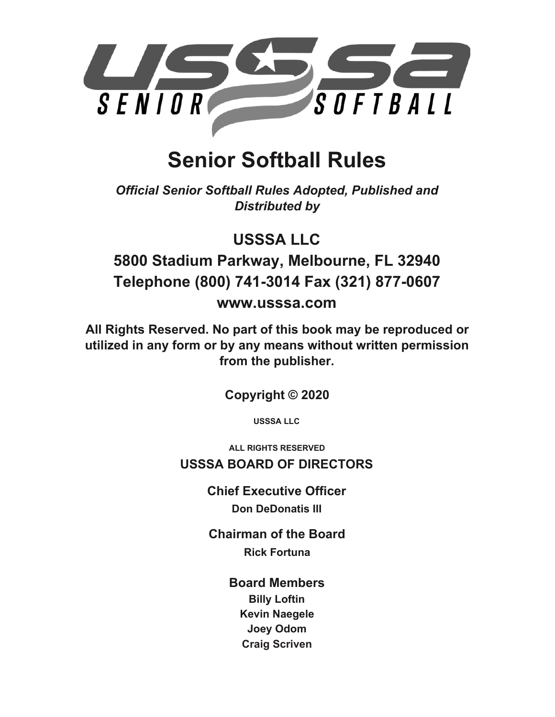

# **Senior Softball Rules**

*Official Senior Softball Rules Adopted, Published and Distributed by*

**USSSA LLC**

**5800 Stadium Parkway, Melbourne, FL 32940 Telephone (800) 741-3014 Fax (321) 877-0607 [www.usssa.com](http://www.usssa.com/)**

**All Rights Reserved. No part of this book may be reproduced or utilized in any form or by any means without written permission from the publisher.**

**Copyright © 2020**

**USSSA LLC**

**ALL RIGHTS RESERVED USSSA BOARD OF DIRECTORS**

> **Chief Executive Officer Don DeDonatis III**

**Chairman of the Board Rick Fortuna**

**Board Members**

**Billy Loftin Kevin Naegele Joey Odom Craig Scriven**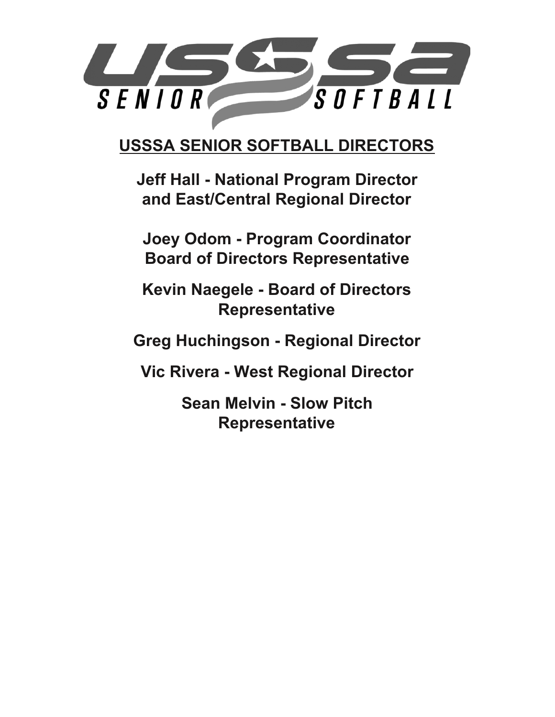

**USSSA SENIOR SOFTBALL DIRECTORS**

**Jeff Hall - National Program Director and East/Central Regional Director**

**Joey Odom - Program Coordinator Board of Directors Representative**

**Kevin Naegele - Board of Directors Representative**

**Greg Huchingson - Regional Director**

**Vic Rivera - West Regional Director**

**Sean Melvin - Slow Pitch Representative**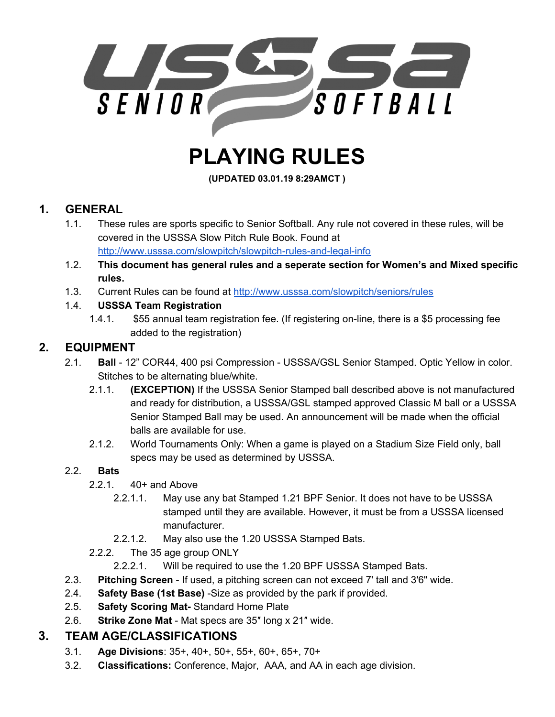

# **PLAYING RULES**

**(UPDATED 03.01.19 8:29AMCT )**

# **1. GENERAL**

- 1.1. These rules are sports specific to Senior Softball. Any rule not covered in these rules, will be covered in the USSSA Slow Pitch Rule Book. Found at <http://www.usssa.com/slowpitch/slowpitch-rules-and-legal-info>
- 1.2. **This document has general rules and a seperate section for Women's and Mixed specific rules.**
- 1.3. Current Rules can be found at <http://www.usssa.com/slowpitch/seniors/rules>

#### 1.4. **USSSA Team Registration**

1.4.1. \$55 annual team registration fee. (If registering on-line, there is a \$5 processing fee added to the registration)

# **2. EQUIPMENT**

- 2.1. **Ball** 12" COR44, 400 psi Compression USSSA/GSL Senior Stamped. Optic Yellow in color. Stitches to be alternating blue/white.
	- 2.1.1. **(EXCEPTION)** If the USSSA Senior Stamped ball described above is not manufactured and ready for distribution, a USSSA/GSL stamped approved Classic M ball or a USSSA Senior Stamped Ball may be used. An announcement will be made when the official balls are available for use.
	- 2.1.2. World Tournaments Only: When a game is played on a Stadium Size Field only, ball specs may be used as determined by USSSA.

#### 2.2. **Bats**

- 2.2.1. 40+ and Above
	- 2.2.1.1. May use any bat Stamped 1.21 BPF Senior. It does not have to be USSSA stamped until they are available. However, it must be from a USSSA licensed manufacturer.
	- 2.2.1.2. May also use the 1.20 USSSA Stamped Bats.
- 2.2.2. The 35 age group ONLY
	- 2.2.2.1. Will be required to use the 1.20 BPF USSSA Stamped Bats.
- 2.3. **Pitching Screen** If used, a pitching screen can not exceed 7' tall and 3'6" wide.
- 2.4. **Safety Base (1st Base)** -Size as provided by the park if provided.
- 2.5. **Safety Scoring Mat-** Standard Home Plate
- 2.6. **Strike Zone Mat** Mat specs are 35″ long x 21″ wide.

# **3. TEAM AGE/CLASSIFICATIONS**

- 3.1. **Age Divisions**: 35+, 40+, 50+, 55+, 60+, 65+, 70+
- 3.2. **Classifications:** Conference, Major, AAA, and AA in each age division.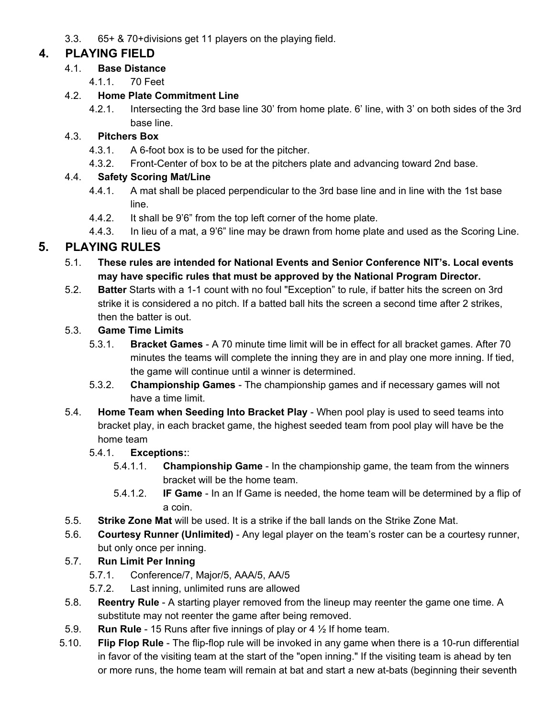3.3. 65+ & 70+divisions get 11 players on the playing field.

# **4. PLAYING FIELD**

#### 4.1. **Base Distance**

4.1.1. 70 Feet

#### 4.2. **Home Plate Commitment Line**

4.2.1. Intersecting the 3rd base line 30' from home plate. 6' line, with 3' on both sides of the 3rd base line.

## 4.3. **Pitchers Box**

- 4.3.1. A 6-foot box is to be used for the pitcher.
- 4.3.2. Front-Center of box to be at the pitchers plate and advancing toward 2nd base.

## 4.4. **Safety Scoring Mat/Line**

- 4.4.1. A mat shall be placed perpendicular to the 3rd base line and in line with the 1st base line.
- 4.4.2. It shall be 9'6" from the top left corner of the home plate.
- 4.4.3. In lieu of a mat, a 9'6" line may be drawn from home plate and used as the Scoring Line.

# **5. PLAYING RULES**

- 5.1. **These rules are intended for National Events and Senior Conference NIT's. Local events may have specific rules that must be approved by the National Program Director.**
- 5.2. **Batter** Starts with a 1-1 count with no foul "Exception" to rule, if batter hits the screen on 3rd strike it is considered a no pitch. If a batted ball hits the screen a second time after 2 strikes, then the batter is out.

#### 5.3. **Game Time Limits**

- 5.3.1. **Bracket Games** A 70 minute time limit will be in effect for all bracket games. After 70 minutes the teams will complete the inning they are in and play one more inning. If tied, the game will continue until a winner is determined.
- 5.3.2. **Championship Games** The championship games and if necessary games will not have a time limit.
- 5.4. **Home Team when Seeding Into Bracket Play** When pool play is used to seed teams into bracket play, in each bracket game, the highest seeded team from pool play will have be the home team

## 5.4.1. **Exceptions:**:

- 5.4.1.1. **Championship Game** In the championship game, the team from the winners bracket will be the home team.
- 5.4.1.2. **IF Game** In an If Game is needed, the home team will be determined by a flip of a coin.
- 5.5. **Strike Zone Mat** will be used. It is a strike if the ball lands on the Strike Zone Mat.
- 5.6. **Courtesy Runner (Unlimited)** Any legal player on the team's roster can be a courtesy runner, but only once per inning.

## 5.7. **Run Limit Per Inning**

- 5.7.1. Conference/7, Major/5, AAA/5, AA/5
- 5.7.2. Last inning, unlimited runs are allowed
- 5.8. **Reentry Rule** A starting player removed from the lineup may reenter the game one time. A substitute may not reenter the game after being removed.
- 5.9. **Run Rule** 15 Runs after five innings of play or 4 ½ If home team.
- 5.10. **Flip Flop Rule** The flip-flop rule will be invoked in any game when there is a 10-run differential in favor of the visiting team at the start of the "open inning." If the visiting team is ahead by ten or more runs, the home team will remain at bat and start a new at-bats (beginning their seventh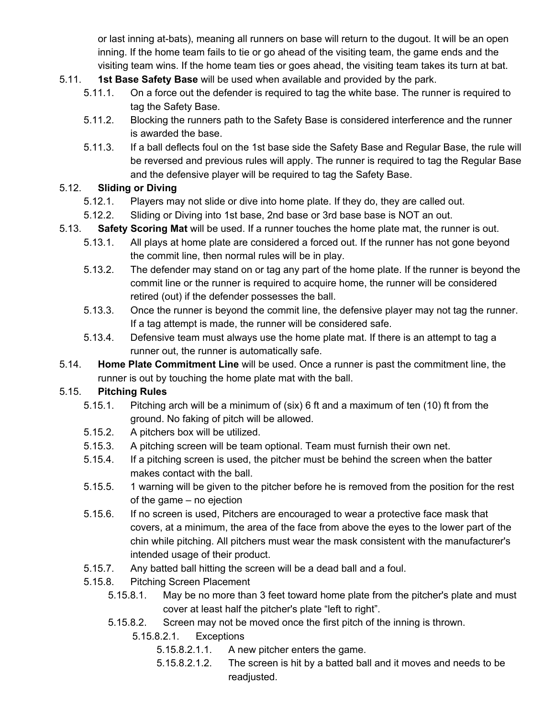or last inning at-bats), meaning all runners on base will return to the dugout. It will be an open inning. If the home team fails to tie or go ahead of the visiting team, the game ends and the visiting team wins. If the home team ties or goes ahead, the visiting team takes its turn at bat.

- 5.11. **1st Base Safety Base** will be used when available and provided by the park.
	- 5.11.1. On a force out the defender is required to tag the white base. The runner is required to tag the Safety Base.
	- 5.11.2. Blocking the runners path to the Safety Base is considered interference and the runner is awarded the base.
	- 5.11.3. If a ball deflects foul on the 1st base side the Safety Base and Regular Base, the rule will be reversed and previous rules will apply. The runner is required to tag the Regular Base and the defensive player will be required to tag the Safety Base.

#### 5.12. **Sliding or Diving**

- 5.12.1. Players may not slide or dive into home plate. If they do, they are called out.
- 5.12.2. Sliding or Diving into 1st base, 2nd base or 3rd base base is NOT an out.
- 5.13. **Safety Scoring Mat** will be used. If a runner touches the home plate mat, the runner is out.
	- 5.13.1. All plays at home plate are considered a forced out. If the runner has not gone beyond the commit line, then normal rules will be in play.
	- 5.13.2. The defender may stand on or tag any part of the home plate. If the runner is beyond the commit line or the runner is required to acquire home, the runner will be considered retired (out) if the defender possesses the ball.
	- 5.13.3. Once the runner is beyond the commit line, the defensive player may not tag the runner. If a tag attempt is made, the runner will be considered safe.
	- 5.13.4. Defensive team must always use the home plate mat. If there is an attempt to tag a runner out, the runner is automatically safe.
- 5.14. **Home Plate Commitment Line** will be used. Once a runner is past the commitment line, the runner is out by touching the home plate mat with the ball.

#### 5.15. **Pitching Rules**

- 5.15.1. Pitching arch will be a minimum of (six) 6 ft and a maximum of ten (10) ft from the ground. No faking of pitch will be allowed.
- 5.15.2. A pitchers box will be utilized.
- 5.15.3. A pitching screen will be team optional. Team must furnish their own net.
- 5.15.4. If a pitching screen is used, the pitcher must be behind the screen when the batter makes contact with the ball.
- 5.15.5. 1 warning will be given to the pitcher before he is removed from the position for the rest of the game – no ejection
- 5.15.6. If no screen is used, Pitchers are encouraged to wear a protective face mask that covers, at a minimum, the area of the face from above the eyes to the lower part of the chin while pitching. All pitchers must wear the mask consistent with the manufacturer's intended usage of their product.
- 5.15.7. Any batted ball hitting the screen will be a dead ball and a foul.
- 5.15.8. Pitching Screen Placement
	- 5.15.8.1. May be no more than 3 feet toward home plate from the pitcher's plate and must cover at least half the pitcher's plate "left to right".
	- 5.15.8.2. Screen may not be moved once the first pitch of the inning is thrown.
		- 5.15.8.2.1. Exceptions
			- 5.15.8.2.1.1. A new pitcher enters the game.
			- 5.15.8.2.1.2. The screen is hit by a batted ball and it moves and needs to be readjusted.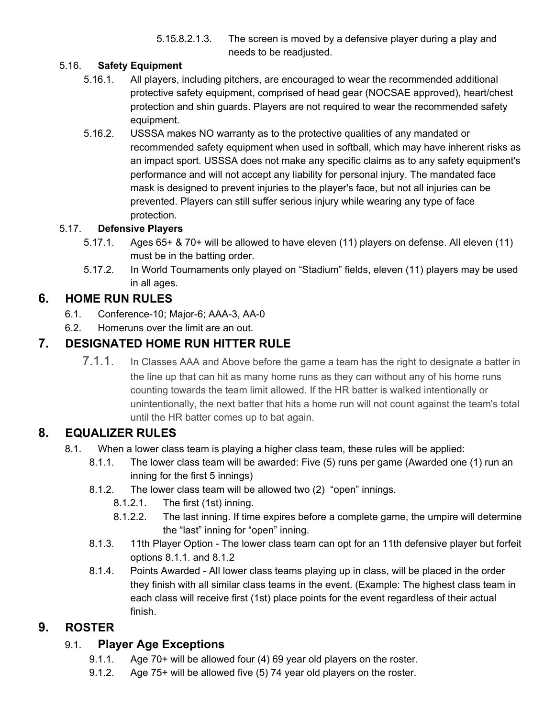5.15.8.2.1.3. The screen is moved by a defensive player during a play and needs to be readjusted.

#### 5.16. **Safety Equipment**

- 5.16.1. All players, including pitchers, are encouraged to wear the recommended additional protective safety equipment, comprised of head gear (NOCSAE approved), heart/chest protection and shin guards. Players are not required to wear the recommended safety equipment.
- 5.16.2. USSSA makes NO warranty as to the protective qualities of any mandated or recommended safety equipment when used in softball, which may have inherent risks as an impact sport. USSSA does not make any specific claims as to any safety equipment's performance and will not accept any liability for personal injury. The mandated face mask is designed to prevent injuries to the player's face, but not all injuries can be prevented. Players can still suffer serious injury while wearing any type of face protection.

#### 5.17. **Defensive Players**

- 5.17.1. Ages 65+ & 70+ will be allowed to have eleven (11) players on defense. All eleven (11) must be in the batting order.
- 5.17.2. In World Tournaments only played on "Stadium" fields, eleven (11) players may be used in all ages.

## **6. HOME RUN RULES**

- 6.1. Conference-10; Major-6; AAA-3, AA-0
- 6.2. Homeruns over the limit are an out.

# **7. DESIGNATED HOME RUN HITTER RULE**

7.1.1. In Classes AAA and Above before the game a team has the right to designate a batter in the line up that can hit as many home runs as they can without any of his home runs counting towards the team limit allowed. If the HR batter is walked intentionally or unintentionally, the next batter that hits a home run will not count against the team's total until the HR batter comes up to bat again.

## **8. EQUALIZER RULES**

- 8.1. When a lower class team is playing a higher class team, these rules will be applied:
	- 8.1.1. The lower class team will be awarded: Five (5) runs per game (Awarded one (1) run an inning for the first 5 innings)
	- 8.1.2. The lower class team will be allowed two (2) "open" innings.
		- 8.1.2.1. The first (1st) inning.
		- 8.1.2.2. The last inning. If time expires before a complete game, the umpire will determine the "last" inning for "open" inning.
	- 8.1.3. 11th Player Option The lower class team can opt for an 11th defensive player but forfeit options 8.1.1. and 8.1.2
	- 8.1.4. Points Awarded All lower class teams playing up in class, will be placed in the order they finish with all similar class teams in the event. (Example: The highest class team in each class will receive first (1st) place points for the event regardless of their actual finish.

## **9. ROSTER**

#### 9.1. **Player Age Exceptions**

- 9.1.1. Age 70+ will be allowed four (4) 69 year old players on the roster.
- 9.1.2. Age 75+ will be allowed five (5) 74 year old players on the roster.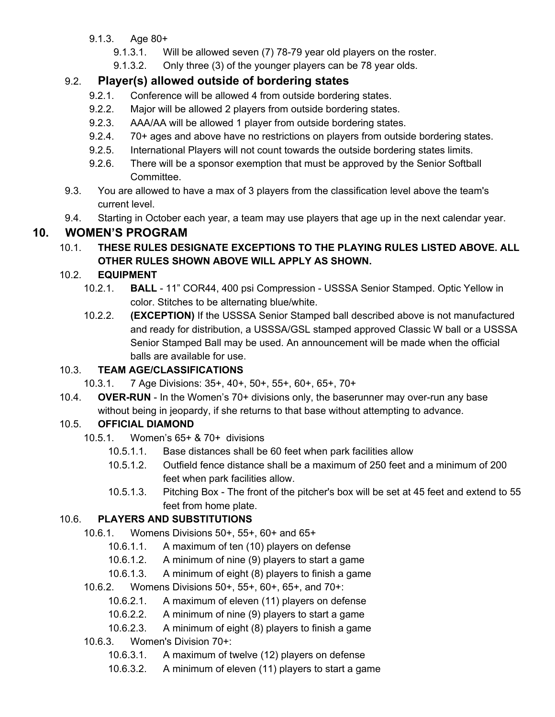- 9.1.3. Age 80+
	- 9.1.3.1. Will be allowed seven (7) 78-79 year old players on the roster.
	- 9.1.3.2. Only three (3) of the younger players can be 78 year olds.

# 9.2. **Player(s) allowed outside of bordering states**

- 9.2.1. Conference will be allowed 4 from outside bordering states.
- 9.2.2. Major will be allowed 2 players from outside bordering states.
- 9.2.3. AAA/AA will be allowed 1 player from outside bordering states.
- 9.2.4. 70+ ages and above have no restrictions on players from outside bordering states.
- 9.2.5. International Players will not count towards the outside bordering states limits.
- 9.2.6. There will be a sponsor exemption that must be approved by the Senior Softball Committee.
- 9.3. You are allowed to have a max of 3 players from the classification level above the team's current level.
- 9.4. Starting in October each year, a team may use players that age up in the next calendar year.

# **10. WOMEN'S PROGRAM**

10.1. **THESE RULES DESIGNATE EXCEPTIONS TO THE PLAYING RULES LISTED ABOVE. ALL OTHER RULES SHOWN ABOVE WILL APPLY AS SHOWN.**

## 10.2. **EQUIPMENT**

- 10.2.1. **BALL** 11" COR44, 400 psi Compression USSSA Senior Stamped. Optic Yellow in color. Stitches to be alternating blue/white.
- 10.2.2. **(EXCEPTION)** If the USSSA Senior Stamped ball described above is not manufactured and ready for distribution, a USSSA/GSL stamped approved Classic W ball or a USSSA Senior Stamped Ball may be used. An announcement will be made when the official balls are available for use.

# 10.3. **TEAM AGE/CLASSIFICATIONS**

- 10.3.1. 7 Age Divisions: 35+, 40+, 50+, 55+, 60+, 65+, 70+
- 10.4. **OVER-RUN** In the Women's 70+ divisions only, the baserunner may over-run any base without being in jeopardy, if she returns to that base without attempting to advance.

## 10.5. **OFFICIAL DIAMOND**

- 10.5.1. Women's 65+ & 70+ divisions
	- 10.5.1.1. Base distances shall be 60 feet when park facilities allow
	- 10.5.1.2. Outfield fence distance shall be a maximum of 250 feet and a minimum of 200 feet when park facilities allow.
	- 10.5.1.3. Pitching Box The front of the pitcher's box will be set at 45 feet and extend to 55 feet from home plate.

## 10.6. **PLAYERS AND SUBSTITUTIONS**

- 10.6.1. Womens Divisions 50+, 55+, 60+ and 65+
	- 10.6.1.1. A maximum of ten (10) players on defense
	- 10.6.1.2. A minimum of nine (9) players to start a game
	- 10.6.1.3. A minimum of eight (8) players to finish a game
- 10.6.2. Womens Divisions 50+, 55+, 60+, 65+, and 70+:
	- 10.6.2.1. A maximum of eleven (11) players on defense
	- 10.6.2.2. A minimum of nine (9) players to start a game
	- 10.6.2.3. A minimum of eight (8) players to finish a game

#### 10.6.3. Women's Division 70+:

- 10.6.3.1. A maximum of twelve (12) players on defense
- 10.6.3.2. A minimum of eleven (11) players to start a game